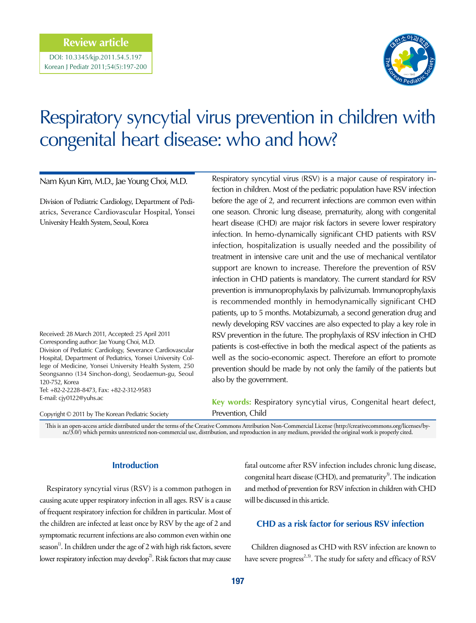# **Review article**

DOI: 10.3345/kjp.2011.54.5.197 Korean J Pediatr 2011;54(5):197-200



# Respiratory syncytial virus prevention in children with congenital heart disease: who and how?

Nam Kyun Kim, M.D., Jae Young Choi, M.D.

Division of Pediatric Cardiology, Department of Pediatrics, Severance Cardiovascular Hospital, Yonsei University Health System, Seoul, Korea

Received: 28 March 2011, Accepted: 25 April 2011 Corresponding author: Jae Young Choi, M.D. Division of Pediatric Cardiology, Severance Cardiovascular Hospital, Department of Pediatrics, Yonsei University College of Medicine, Yonsei University Health System, 250 Seongsanno (134 Sinchon-dong), Seodaemun-gu, Seoul 120-752, Korea Tel: +82-2-2228-8473, Fax: +82-2-312-9583

Copyright © 2011 by The Korean Pediatric Society

E-mail: cjy0122@yuhs.ac

Respiratory syncytial virus (RSV) is a major cause of respiratory infection in children. Most of the pediatric population have RSV infection before the age of 2, and recurrent infections are common even within one season. Chronic lung disease, prematurity, along with congenital heart disease (CHD) are major risk factors in severe lower respiratory infection. In hemo-dynamically significant CHD patients with RSV infection, hospitalization is usually needed and the possibility of treatment in intensive care unit and the use of mechanical ventilator support are known to increase. Therefore the prevention of RSV infection in CHD patients is mandatory. The current standard for RSV prevention is immunoprophylaxis by palivizumab. Immunoprophylaxis is recommended monthly in hemodynamically significant CHD patients, up to 5 months. Motabizumab, a second generation drug and newly developing RSV vaccines are also expected to play a key role in RSV prevention in the future. The prophylaxis of RSV infection in CHD patients is cost-effective in both the medical aspect of the patients as well as the socio-economic aspect. Therefore an effort to promote prevention should be made by not only the family of the patients but also by the government.

**Key words:** Respiratory syncytial virus, Congenital heart defect, Prevention, Child

This is an open-access article distributed under the terms of the Creative Commons Attribution Non-Commercial License (http://creativecommons.org/licenses/bync/3.0/) which permits unrestricted non-commercial use, distribution, and reproduction in any medium, provided the original work is properly cited.

## **Introduction**

Respiratory syncytial virus (RSV) is a common pathogen in causing acute upper respiratory infection in all ages. RSV is a cause of frequent respiratory infection for children in particular. Most of the children are infected at least once by RSV by the age of 2 and symptomatic recurrent infections are also common even within one season<sup>1)</sup>. In children under the age of 2 with high risk factors, severe lower respiratory infection may develop<sup>2</sup>. Risk factors that may cause

fatal outcome after RSV infection includes chronic lung disease, congenital heart disease (CHD), and prematurity<sup>3)</sup>. The indication and method of prevention for RSV infection in children with CHD will be discussed in this article.

# **CHD as a risk factor for serious RSV infection**

Children diagnosed as CHD with RSV infection are known to have severe progress<sup>2,3)</sup>. The study for safety and efficacy of RSV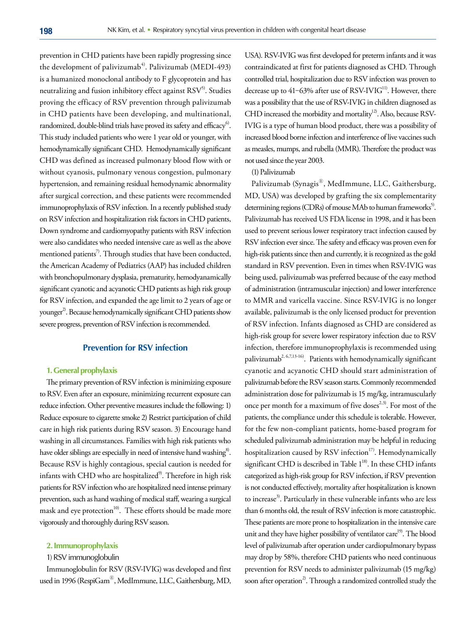prevention in CHD patients have been rapidly progressing since the development of palivizumab<sup>4)</sup>. Palivizumab (MEDI-493) is a humanized monoclonal antibody to F glycoprotein and has neutralizing and fusion inhibitory effect against  $RSV^5$ . Studies proving the efficacy of RSV prevention through palivizumab in CHD patients have been developing, and multinational, randomized, double-blind trials have proved its safety and efficacy $^6$ . This study included patients who were 1 year old or younger, with hemodynamically significant CHD. Hemodynamically significant CHD was defined as increased pulmonary blood flow with or without cyanosis, pulmonary venous congestion, pulmonary hypertension, and remaining residual hemodynamic abnormality after surgical correction, and these patients were recommended immunoprophylaxis of RSV infection. In a recently published study on RSV infection and hospitalization risk factors in CHD patients, Down syndrome and cardiomyopathy patients with RSV infection were also candidates who needed intensive care as well as the above mentioned patients<sup>7)</sup>. Through studies that have been conducted, the American Academy of Pediatrics (AAP) has included children with bronchopulmonary dysplasia, prematurity, hemodyanamically significant cyanotic and acyanotic CHD patients as high risk group for RSV infection, and expanded the age limit to 2 years of age or younger<sup>2</sup>. Because hemodynamically significant CHD patients show severe progress, prevention of RSV infection is recommended.

## **Prevention for RSV infection**

#### **1. General prophylaxis**

The primary prevention of RSV infection is minimizing exposure to RSV. Even after an exposure, minimizing recurrent exposure can reduce infection. Other preventive measures include the following: 1) Reduce exposure to cigarette smoke 2) Restrict participation of child care in high risk patients during RSV season. 3) Encourage hand washing in all circumstances. Families with high risk patients who have older siblings are especially in need of intensive hand washing<sup>8</sup>. Because RSV is highly contagious, special caution is needed for infants with CHD who are hospitalized<sup>9)</sup>. Therefore in high risk patients for RSV infection who are hospitalized need intense primary prevention, such as hand washing of medical staff, wearing a surgical mask and eye protection<sup>10)</sup>. These efforts should be made more vigorously and thoroughly during RSV season.

#### **2. Immunoprophylaxis**

#### 1) RSV immunoglobulin

Immunoglobulin for RSV (RSV-IVIG) was developed and first used in 1996 (RespiGam®, MedImmune, LLC, Gaithersburg, MD,

USA). RSV-IVIG was first developed for preterm infants and it was contraindicated at first for patients diagnosed as CHD. Through controlled trial, hospitalization due to RSV infection was proven to decrease up to  $41-63%$  after use of RSV-IVIG<sup>11</sup>. However, there was a possibility that the use of RSV-IVIG in children diagnosed as CHD increased the morbidity and mortality<sup>12)</sup>. Also, because RSV-IVIG is a type of human blood product, there was a possibility of increased blood borne infection and interference of live vaccines such as measles, mumps, and rubella (MMR). Therefore the product was not used since the year 2003.

#### (1) Palivizumab

Palivizumab (Synagis®, MedImmune, LLC, Gaithersburg, MD, USA) was developed by grafting the six complementarity determining regions (CDRs) of mouse MAb to human frameworks<sup>5)</sup>. Palivizumab has received US FDA license in 1998, and it has been used to prevent serious lower respiratory tract infection caused by RSV infection ever since. The safety and efficacy was proven even for high-risk patients since then and currently, it is recognized as the gold standard in RSV prevention. Even in times when RSV-IVIG was being used, palivizumab was preferred because of the easy method of administration (intramuscular injection) and lower interference to MMR and varicella vaccine. Since RSV-IVIG is no longer available, palivizumab is the only licensed product for prevention of RSV infection. Infants diagnosed as CHD are considered as high-risk group for severe lower respiratory infection due to RSV infection, therefore immunoprophylaxis is recommended using palivizumab<sup>2, 6,7,13-16</sup>). Patients with hemodynamically significant cyanotic and acyanotic CHD should start administration of palivizumab before the RSV season starts. Commonly recommended administration dose for palivizumab is 15 mg/kg, intramuscularly once per month for a maximum of five doses<sup>2,3)</sup>. For most of the patients, the compliance under this schedule is tolerable. However, for the few non-compliant patients, home-based program for scheduled palivizumab administration may be helpful in reducing hospitalization caused by RSV infection $17$ . Hemodynamically significant CHD is described in Table  $1^{18}$ . In these CHD infants categorized as high-risk group for RSV infection, if RSV prevention is not conducted effectively, mortality after hospitalization is known to increase<sup>3)</sup>. Particularly in these vulnerable infants who are less than 6 months old, the result of RSV infection is more catastrophic. These patients are more prone to hospitalization in the intensive care unit and they have higher possibility of ventilator care<sup>19)</sup>. The blood level of palivizumab after operation under cardiopulmonary bypass may drop by 58%, therefore CHD patients who need continuous prevention for RSV needs to administer palivizumab (15 mg/kg) soon after operation<sup>2)</sup>. Through a randomized controlled study the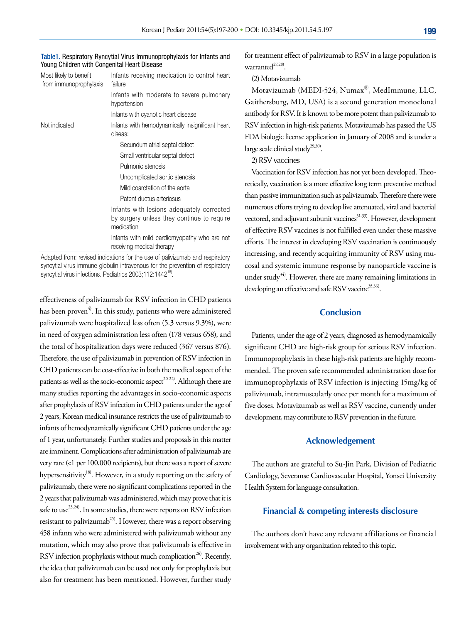| Table 1. Respiratory Ryncytial Virus Immunoprophylaxis for Infants and |  |
|------------------------------------------------------------------------|--|
| Young Children with Congenital Heart Disease                           |  |

| Most likely to benefit<br>from immunoprophylaxis | Infants receiving medication to control heart<br>failure                                              |
|--------------------------------------------------|-------------------------------------------------------------------------------------------------------|
|                                                  | Infants with moderate to severe pulmonary<br>hypertension                                             |
|                                                  | Infants with cyanotic heart disease                                                                   |
| Not indicated                                    | Infants with hemodynamically insignificant heart<br>diseas:                                           |
|                                                  | Secundum atrial septal defect                                                                         |
|                                                  | Small ventricular septal defect                                                                       |
|                                                  | Pulmonic stenosis                                                                                     |
|                                                  | Uncomplicated aortic stenosis                                                                         |
|                                                  | Mild coarctation of the aorta                                                                         |
|                                                  | Patent ductus arteriosus                                                                              |
|                                                  | Infants with lesions adequately corrected<br>by surgery unless they continue to require<br>medication |
|                                                  | Infants with mild cardiomyopathy who are not<br>receiving medical therapy                             |

Adapted from: revised indications for the use of palivizumab and respiratory syncytial virus immune globulin intravenous for the prevention of respiratory syncytial virus infections. Pediatrics 2003;112:1442<sup>18)</sup>

effectiveness of palivizumab for RSV infection in CHD patients has been proven<sup>4)</sup>. In this study, patients who were administered palivizumab were hospitalized less often (5.3 versus 9.3%), were in need of oxygen administration less often (178 versus 658), and the total of hospitalization days were reduced (367 versus 876). Therefore, the use of palivizumab in prevention of RSV infection in CHD patients can be cost-effective in both the medical aspect of the patients as well as the socio-economic aspect<sup>20-22)</sup>. Although there are many studies reporting the advantages in socio-economic aspects after prophylaxis of RSV infection in CHD patients under the age of 2 years, Korean medical insurance restricts the use of palivizumab to infants of hemodynamically significant CHD patients under the age of 1 year, unfortunately. Further studies and proposals in this matter are imminent. Complications after administration of palivizumab are very rare (<1 per 100,000 recipients), but there was a report of severe hypersensitivity<sup>18)</sup>. However, in a study reporting on the safety of palivizumab, there were no significant complications reported in the 2 years that palivizumab was administered, which may prove that it is safe to use<sup>23,24)</sup>. In some studies, there were reports on RSV infection resistant to palivizumab<sup>25)</sup>. However, there was a report observing 458 infants who were administered with palivizumab without any mutation, which may also prove that palivizumab is effective in RSV infection prophylaxis without much complication<sup>26)</sup>. Recently, the idea that palivizumab can be used not only for prophylaxis but also for treatment has been mentioned. However, further study

for treatment effect of palivizumab to RSV in a large population is warranted $27,28$ ).

#### (2) Motavizumab

Motavizumab (MEDI-524, Numax<sup>®</sup>, MedImmune, LLC, Gaithersburg, MD, USA) is a second generation monoclonal antibody for RSV. It is known to be more potent than palivizumab to RSV infection in high-risk patients. Motavizumab has passed the US FDA biologic license application in January of 2008 and is under a large scale clinical study<sup>29,30)</sup>.

2) RSV vaccines

Vaccination for RSV infection has not yet been developed. Theoretically, vaccination is a more effective long term preventive method than passive immunization such as palivizumab. Therefore there were numerous efforts trying to develop live attenuated, viral and bacterial vectored, and adjuvant subunit vaccines<sup>31-33)</sup>. However, development of effective RSV vaccines is not fulfilled even under these massive efforts. The interest in developing RSV vaccination is continuously increasing, and recently acquiring immunity of RSV using mucosal and systemic immune response by nanoparticle vaccine is under study<sup>34)</sup>. However, there are many remaining limitations in developing an effective and safe RSV vaccine<sup>35,36)</sup>.

## **Conclusion**

Patients, under the age of 2 years, diagnosed as hemodynamically significant CHD are high-risk group for serious RSV infection. Immunoprophylaxis in these high-risk patients are highly recommended. The proven safe recommended administration dose for immunoprophylaxis of RSV infection is injecting 15mg/kg of palivizumab, intramuscularly once per month for a maximum of five doses. Motavizumab as well as RSV vaccine, currently under development, may contribute to RSV prevention in the future.

#### **Acknowledgement**

The authors are grateful to Su-Jin Park, Division of Pediatric Cardiology, Severanse Cardiovascular Hospital, Yonsei University Health System for language consultation.

### **Financial & competing interests disclosure**

The authors don't have any relevant affiliations or financial involvement with any organization related to this topic.